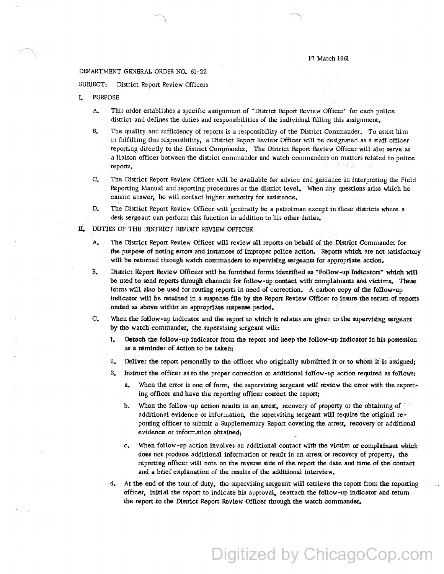## 17 March 1961

## DEPARTMENT GENERAL ORDER NO. 61-22

SUBJECT: District Report Review Officers

- L PURPOSE
	- A, This order establishes a specific assignment of "District Report Review Officer'' for each police district and defines the duties and responsibilities of the individual filling this assignment.
	- B, The quality and sufficiency of reports is a responsibility of the District Commander, To assist him in fulfilling this responsibility, a District Report Review Officer will be designated as a staff officer reporting directly to the District Commander. The District Report Review Officer will also serve as a liaison officer between the district commander and watch commanders on matters related to police reports, - 원 라.)
	- C, The District Report Review Officer will be available for advice and guidance in interpreting the Field Reporting Manual and reporting procedures at the district level. When any questions arise which he cannot answer, he will contact higher authority for assistance.
	- D, The District Report Review Officer wiil generally be a patrolman except in those districts where a desk sergeant can perform this function in addition to his other duties,
- IL DUTIES OF THE DISTRICT REPORT REVIEW OFFICER
	- A. The District Report Review Officer will review all reports on behalf of the District Commander for the purpose of noting errors and instances of improper police action. Reports which are not satisfactory will be returned through watch commanders to supervising sergeants for appropriate action.
	- B. District Report Review Officers will be furnished forms identified as "Follow-up Indicators" which will be used to send reports through channels for follow-up contact with complainants and victims. These forms will also be used for routing reports in need of correction. A carbon copy of the follow-up indicator will be retained in a suspense file by the Report Review Officer to insure the return of reports routed as above within an appropriate suspense period.
	- c. When the follow-up indicator and the report to which it relates are given to the supervising sergeant by the watch commander, the supervising sergeant will:
		- l. Detach the follow-up indicator from the report and keep the follow-up indicator in his possession as a reminder of action to be taken;
		- 2, Deliver the report personally to the officer who originally submitted it or to whom it is assigned;
		- 3. Instruct the officer as to the proper correction or additional follow-up action required as follows:
			- a:. When the error is one of form. the supervising sergeant will review the error with the reporting officer and have the reporting officer correct the report;
			- b. When the follow-up action results in an arrest, recovery of property or the obtaining of additional evidence or information, the supervising sergeant will require the original re porting officer to submit a Supplementary Report covering the arrest, recovery or additional evidence or information obtained;
			- c. When follow-up action involves an additional contact with the victim or complainant which does not produce additional information or result in an arrest or recovery of property. the reporting officer will note on the reverse side of the report the date and time of the contact and a brief explanation of the results of the additional interview.
		- 4. At the end of the tour of duty, the supervising sergeant will retrieve the report from the reporting officer, initial the repon to indicate his approval, reattach the follow-up indicator and return the report to the District Report Review Officer through the watch commander.